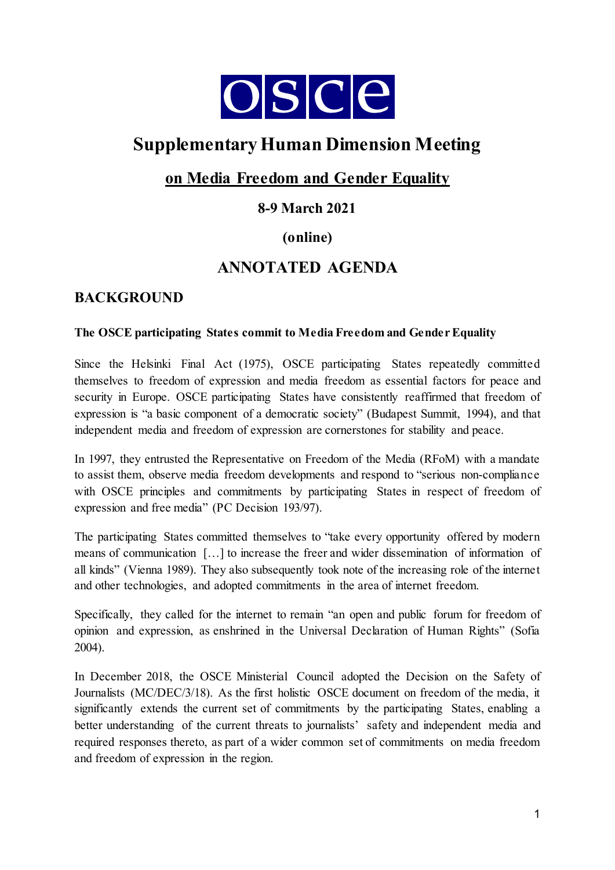

# **Supplementary Human Dimension Meeting**

# **on Media Freedom and Gender Equality**

# **8-9 March 2021**

# **(online)**

# **ANNOTATED AGENDA**

# **BACKGROUND**

### **The OSCE participating States commit to Media Freedom and Gender Equality**

Since the Helsinki Final Act (1975), OSCE participating States repeatedly committed themselves to freedom of expression and media freedom as essential factors for peace and security in Europe. OSCE participating States have consistently reaffirmed that freedom of expression is "a basic component of a democratic society" (Budapest Summit, 1994), and that independent media and freedom of expression are cornerstones for stability and peace.

In 1997, they entrusted the Representative on Freedom of the Media (RFoM) with a mandate to assist them, observe media freedom developments and respond to "serious non-compliance with OSCE principles and commitments by participating States in respect of freedom of expression and free media" (PC Decision 193/97).

The participating States committed themselves to "take every opportunity offered by modern means of communication […] to increase the freer and wider dissemination of information of all kinds" (Vienna 1989). They also subsequently took note of the increasing role of the internet and other technologies, and adopted commitments in the area of internet freedom.

Specifically, they called for the internet to remain "an open and public forum for freedom of opinion and expression, as enshrined in the Universal Declaration of Human Rights" (Sofia 2004).

In December 2018, the OSCE Ministerial Council adopted the Decision on the Safety of Journalists (MC/DEC/3/18). As the first holistic OSCE document on freedom of the media, it significantly extends the current set of commitments by the participating States, enabling a better understanding of the current threats to journalists' safety and independent media and required responses thereto, as part of a wider common set of commitments on media freedom and freedom of expression in the region.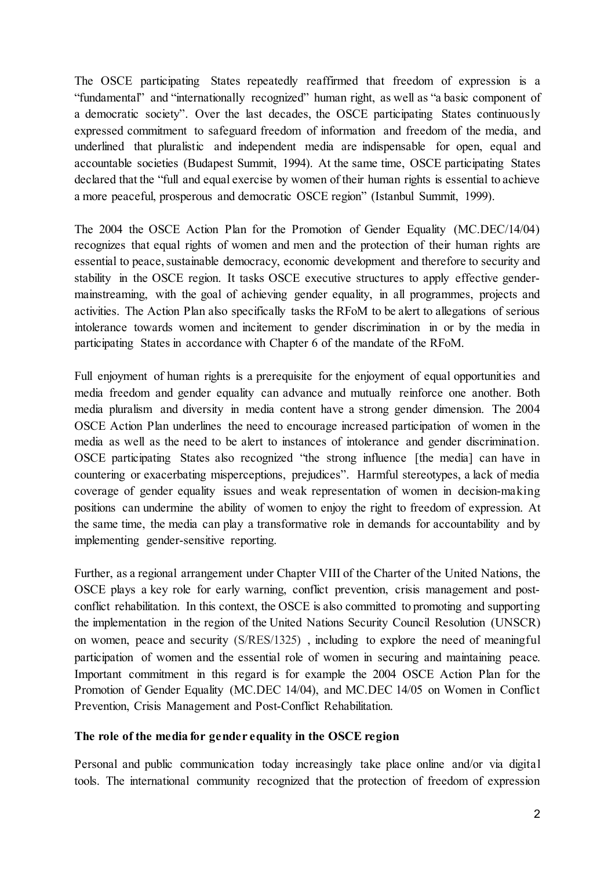The OSCE participating States repeatedly reaffirmed that freedom of expression is a "fundamental" and "internationally recognized" human right, as well as "a basic component of a democratic society". Over the last decades, the OSCE participating States continuously expressed commitment to safeguard freedom of information and freedom of the media, and underlined that pluralistic and independent media are indispensable for open, equal and accountable societies (Budapest Summit, 1994). At the same time, OSCE participating States declared that the "full and equal exercise by women of their human rights is essential to achieve a more peaceful, prosperous and democratic OSCE region" (Istanbul Summit, 1999).

The 2004 the OSCE Action Plan for the Promotion of Gender Equality (MC.DEC/14/04) recognizes that equal rights of women and men and the protection of their human rights are essential to peace, sustainable democracy, economic development and therefore to security and stability in the OSCE region. It tasks OSCE executive structures to apply effective gendermainstreaming, with the goal of achieving gender equality, in all programmes, projects and activities. The Action Plan also specifically tasks the RFoM to be alert to allegations of serious intolerance towards women and incitement to gender discrimination in or by the media in participating States in accordance with Chapter 6 of the mandate of the RFoM.

Full enjoyment of human rights is a prerequisite for the enjoyment of equal opportunities and media freedom and gender equality can advance and mutually reinforce one another. Both media pluralism and diversity in media content have a strong gender dimension. The 2004 OSCE Action Plan underlines the need to encourage increased participation of women in the media as well as the need to be alert to instances of intolerance and gender discrimination. OSCE participating States also recognized "the strong influence [the media] can have in countering or exacerbating misperceptions, prejudices". Harmful stereotypes, a lack of media coverage of gender equality issues and weak representation of women in decision-making positions can undermine the ability of women to enjoy the right to freedom of expression. At the same time, the media can play a transformative role in demands for accountability and by implementing gender-sensitive reporting.

Further, as a regional arrangement under Chapter VIII of the Charter of the United Nations, the OSCE plays a key role for early warning, conflict prevention, crisis management and postconflict rehabilitation. In this context, the OSCE is also committed to promoting and supporting the implementation in the region of the United Nations Security Council Resolution (UNSCR) on women, peace and security (S/RES/1325) , including to explore the need of meaningful participation of women and the essential role of women in securing and maintaining peace. Important commitment in this regard is for example the 2004 OSCE Action Plan for the Promotion of Gender Equality (MC.DEC 14/04), and MC.DEC 14/05 on Women in Conflict Prevention, Crisis Management and Post-Conflict Rehabilitation.

#### **The role of the media for gender equality in the OSCE region**

Personal and public communication today increasingly take place online and/or via digital tools. The international community recognized that the protection of freedom of expression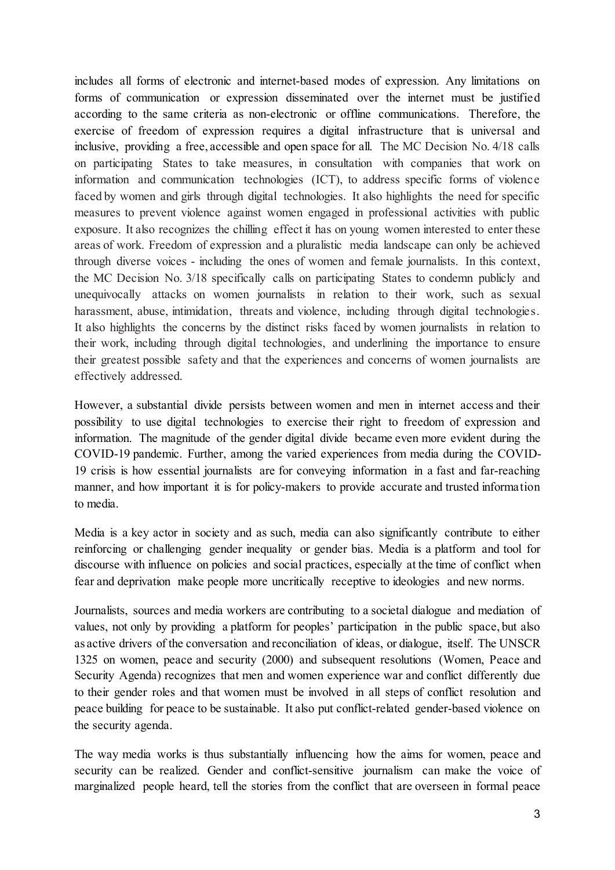includes all forms of electronic and internet-based modes of expression. Any limitations on forms of communication or expression disseminated over the internet must be justified according to the same criteria as non-electronic or offline communications. Therefore, the exercise of freedom of expression requires a digital infrastructure that is universal and inclusive, providing a free, accessible and open space for all. The MC Decision No. 4/18 calls on participating States to take measures, in consultation with companies that work on information and communication technologies (ICT), to address specific forms of violence faced by women and girls through digital technologies. It also highlights the need for specific measures to prevent violence against women engaged in professional activities with public exposure. It also recognizes the chilling effect it has on young women interested to enter these areas of work. Freedom of expression and a pluralistic media landscape can only be achieved through diverse voices - including the ones of women and female journalists. In this context, the MC Decision No. 3/18 specifically calls on participating States to condemn publicly and unequivocally attacks on women journalists in relation to their work, such as sexual harassment, abuse, intimidation, threats and violence, including through digital technologies. It also highlights the concerns by the distinct risks faced by women journalists in relation to their work, including through digital technologies, and underlining the importance to ensure their greatest possible safety and that the experiences and concerns of women journalists are effectively addressed.

However, a substantial divide persists between women and men in internet access and their possibility to use digital technologies to exercise their right to freedom of expression and information. The magnitude of the gender digital divide became even more evident during the COVID-19 pandemic. Further, among the varied experiences from media during the COVID-19 crisis is how essential journalists are for conveying information in a fast and far-reaching manner, and how important it is for policy-makers to provide accurate and trusted information to media.

Media is a key actor in society and as such, media can also significantly contribute to either reinforcing or challenging gender inequality or gender bias. Media is a platform and tool for discourse with influence on policies and social practices, especially at the time of conflict when fear and deprivation make people more uncritically receptive to ideologies and new norms.

Journalists, sources and media workers are contributing to a societal dialogue and mediation of values, not only by providing a platform for peoples' participation in the public space, but also as active drivers of the conversation and reconciliation of ideas, or dialogue, itself. The UNSCR 1325 on women, peace and security (2000) and subsequent resolutions (Women, Peace and Security Agenda) recognizes that men and women experience war and conflict differently due to their gender roles and that women must be involved in all steps of conflict resolution and peace building for peace to be sustainable. It also put conflict-related gender-based violence on the security agenda.

The way media works is thus substantially influencing how the aims for women, peace and security can be realized. Gender and conflict-sensitive journalism can make the voice of marginalized people heard, tell the stories from the conflict that are overseen in formal peace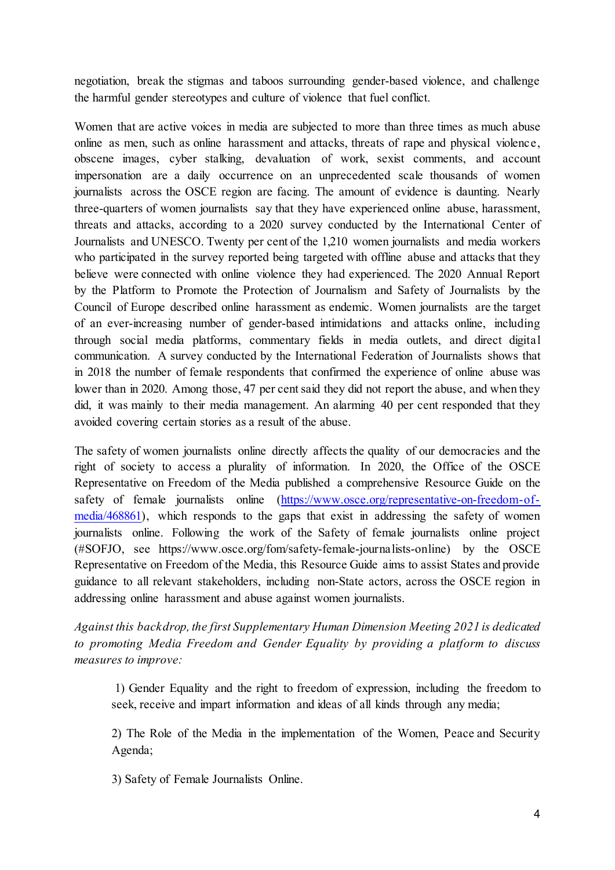negotiation, break the stigmas and taboos surrounding gender-based violence, and challenge the harmful gender stereotypes and culture of violence that fuel conflict.

Women that are active voices in media are subjected to more than three times as much abuse online as men, such as online harassment and attacks, threats of rape and physical violence, obscene images, cyber stalking, devaluation of work, sexist comments, and account impersonation are a daily occurrence on an unprecedented scale thousands of women journalists across the OSCE region are facing. The amount of evidence is daunting. Nearly three-quarters of women journalists say that they have experienced online abuse, harassment, threats and attacks, according to a 2020 survey conducted by the International Center of Journalists and UNESCO. Twenty per cent of the 1,210 women journalists and media workers who participated in the survey reported being targeted with offline abuse and attacks that they believe were connected with online violence they had experienced. The 2020 Annual Report by the Platform to Promote the Protection of Journalism and Safety of Journalists by the Council of Europe described online harassment as endemic. Women journalists are the target of an ever-increasing number of gender-based intimidations and attacks online, including through social media platforms, commentary fields in media outlets, and direct digital communication. A survey conducted by the International Federation of Journalists shows that in 2018 the number of female respondents that confirmed the experience of online abuse was lower than in 2020. Among those, 47 per cent said they did not report the abuse, and when they did, it was mainly to their media management. An alarming 40 per cent responded that they avoided covering certain stories as a result of the abuse.

The safety of women journalists online directly affects the quality of our democracies and the right of society to access a plurality of information. In 2020, the Office of the OSCE Representative on Freedom of the Media published a comprehensive Resource Guide on the safety of female journalists online [\(https://www.osce.org/representative-on-freedom-of](https://www.osce.org/representative-on-freedom-of-media/468861)[media/468861\),](https://www.osce.org/representative-on-freedom-of-media/468861) which responds to the gaps that exist in addressing the safety of women journalists online. Following the work of the Safety of female journalists online project (#SOFJO, see https://www.osce.org/fom/safety-female-journalists-online) by the OSCE Representative on Freedom of the Media, this Resource Guide aims to assist States and provide guidance to all relevant stakeholders, including non-State actors, across the OSCE region in addressing online harassment and abuse against women journalists.

*Against this backdrop, the first Supplementary Human Dimension Meeting 2021 is dedicated to promoting Media Freedom and Gender Equality by providing a platform to discuss measures to improve:*

1) Gender Equality and the right to freedom of expression, including the freedom to seek, receive and impart information and ideas of all kinds through any media;

2) The Role of the Media in the implementation of the Women, Peace and Security Agenda;

3) Safety of Female Journalists Online.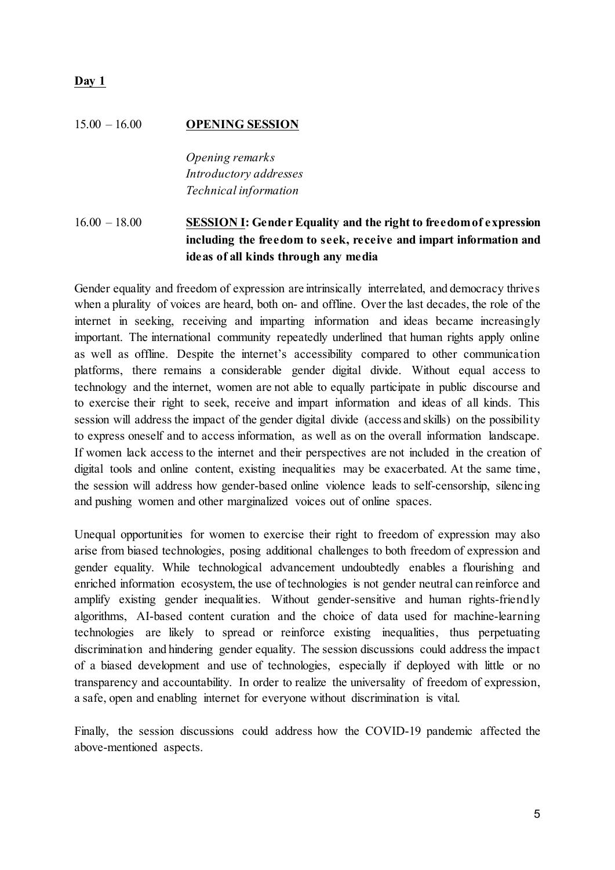#### **Day 1**

#### 15.00 – 16.00 **OPENING SESSION**

*Opening remarks Introductory addresses Technical information*

### 16.00 – 18.00 **SESSION I: Gender Equality and the right to freedom of expression including the freedom to seek, receive and impart information and ideas of all kinds through any media**

Gender equality and freedom of expression are intrinsically interrelated, and democracy thrives when a plurality of voices are heard, both on- and offline. Over the last decades, the role of the internet in seeking, receiving and imparting information and ideas became increasingly important. The international community repeatedly underlined that human rights apply online as well as offline. Despite the internet's accessibility compared to other communication platforms, there remains a considerable gender digital divide. Without equal access to technology and the internet, women are not able to equally participate in public discourse and to exercise their right to seek, receive and impart information and ideas of all kinds. This session will address the impact of the gender digital divide (access and skills) on the possibility to express oneself and to access information, as well as on the overall information landscape. If women lack access to the internet and their perspectives are not included in the creation of digital tools and online content, existing inequalities may be exacerbated. At the same time, the session will address how gender-based online violence leads to self-censorship, silencing and pushing women and other marginalized voices out of online spaces.

Unequal opportunities for women to exercise their right to freedom of expression may also arise from biased technologies, posing additional challenges to both freedom of expression and gender equality. While technological advancement undoubtedly enables a flourishing and enriched information ecosystem, the use of technologies is not gender neutral can reinforce and amplify existing gender inequalities. Without gender-sensitive and human rights-friendly algorithms, AI-based content curation and the choice of data used for machine-learning technologies are likely to spread or reinforce existing inequalities, thus perpetuating discrimination and hindering gender equality. The session discussions could address the impact of a biased development and use of technologies, especially if deployed with little or no transparency and accountability. In order to realize the universality of freedom of expression, a safe, open and enabling internet for everyone without discrimination is vital.

Finally, the session discussions could address how the COVID-19 pandemic affected the above-mentioned aspects.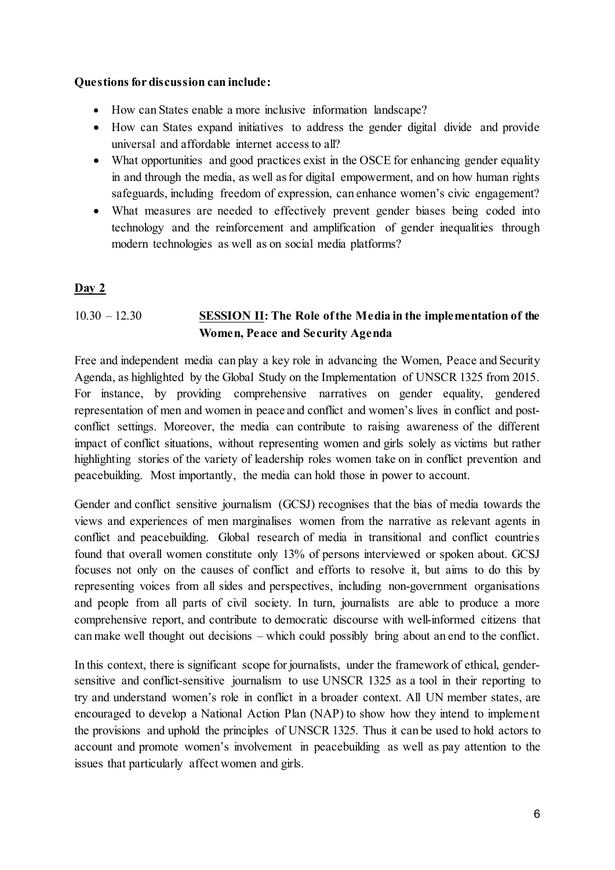#### **Questions for discussion can include:**

- How can States enable a more inclusive information landscape?
- How can States expand initiatives to address the gender digital divide and provide universal and affordable internet access to all?
- What opportunities and good practices exist in the OSCE for enhancing gender equality in and through the media, as well as for digital empowerment, and on how human rights safeguards, including freedom of expression, can enhance women's civic engagement?
- What measures are needed to effectively prevent gender biases being coded into technology and the reinforcement and amplification of gender inequalities through modern technologies as well as on social media platforms?

### **Day 2**

## 10.30 – 12.30 **SESSION II: The Role of the Media in the implementation of the Women, Peace and Security Agenda**

Free and independent media can play a key role in advancing the Women, Peace and Security Agenda, as highlighted by the Global Study on the Implementation of UNSCR 1325 from 2015. For instance, by providing comprehensive narratives on gender equality, gendered representation of men and women in peace and conflict and women's lives in conflict and postconflict settings. Moreover, the media can contribute to raising awareness of the different impact of conflict situations, without representing women and girls solely as victims but rather highlighting stories of the variety of leadership roles women take on in conflict prevention and peacebuilding. Most importantly, the media can hold those in power to account.

Gender and conflict sensitive journalism (GCSJ) recognises that the bias of media towards the views and experiences of men marginalises women from the narrative as relevant agents in conflict and peacebuilding. Global research of media in transitional and conflict countries found that overall women constitute only 13% of persons interviewed or spoken about. GCSJ focuses not only on the causes of conflict and efforts to resolve it, but aims to do this by representing voices from all sides and perspectives, including non-government organisations and people from all parts of civil society. In turn, journalists are able to produce a more comprehensive report, and contribute to democratic discourse with well-informed citizens that can make well thought out decisions – which could possibly bring about an end to the conflict.

In this context, there is significant scope for journalists, under the framework of ethical, gendersensitive and conflict-sensitive journalism to use UNSCR 1325 as a tool in their reporting to try and understand women's role in conflict in a broader context. All UN member states, are encouraged to develop a National Action Plan (NAP) to show how they intend to implement the provisions and uphold the principles of UNSCR 1325. Thus it can be used to hold actors to account and promote women's involvement in peacebuilding as well as pay attention to the issues that particularly affect women and girls.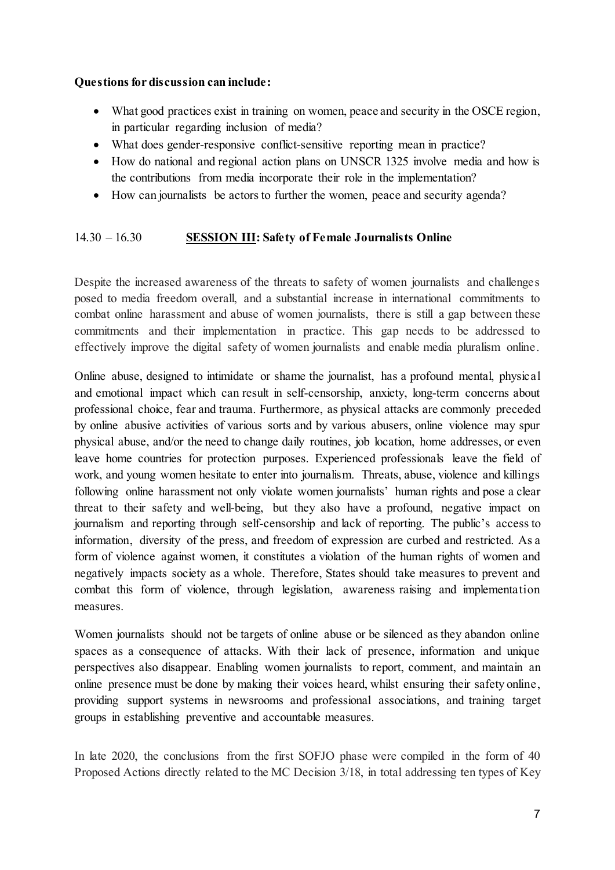#### **Questions for discussion can include:**

- What good practices exist in training on women, peace and security in the OSCE region, in particular regarding inclusion of media?
- What does gender-responsive conflict-sensitive reporting mean in practice?
- How do national and regional action plans on UNSCR 1325 involve media and how is the contributions from media incorporate their role in the implementation?
- How can journalists be actors to further the women, peace and security agenda?

### 14.30 – 16.30 **SESSION III: Safety of Female Journalists Online**

Despite the increased awareness of the threats to safety of women journalists and challenges posed to media freedom overall, and a substantial increase in international commitments to combat online harassment and abuse of women journalists, there is still a gap between these commitments and their implementation in practice. This gap needs to be addressed to effectively improve the digital safety of women journalists and enable media pluralism online.

Online abuse, designed to intimidate or shame the journalist, has a profound mental, physical and emotional impact which can result in self-censorship, anxiety, long-term concerns about professional choice, fear and trauma. Furthermore, as physical attacks are commonly preceded by online abusive activities of various sorts and by various abusers, online violence may spur physical abuse, and/or the need to change daily routines, job location, home addresses, or even leave home countries for protection purposes. Experienced professionals leave the field of work, and young women hesitate to enter into journalism. Threats, abuse, violence and killings following online harassment not only violate women journalists' human rights and pose a clear threat to their safety and well-being, but they also have a profound, negative impact on journalism and reporting through self-censorship and lack of reporting. The public's access to information, diversity of the press, and freedom of expression are curbed and restricted. As a form of violence against women, it constitutes a violation of the human rights of women and negatively impacts society as a whole. Therefore, States should take measures to prevent and combat this form of violence, through legislation, awareness raising and implementation measures.

Women journalists should not be targets of online abuse or be silenced as they abandon online spaces as a consequence of attacks. With their lack of presence, information and unique perspectives also disappear. Enabling women journalists to report, comment, and maintain an online presence must be done by making their voices heard, whilst ensuring their safety online, providing support systems in newsrooms and professional associations, and training target groups in establishing preventive and accountable measures.

In late 2020, the conclusions from the first SOFJO phase were compiled in the form of 40 Proposed Actions directly related to the MC Decision 3/18, in total addressing ten types of Key